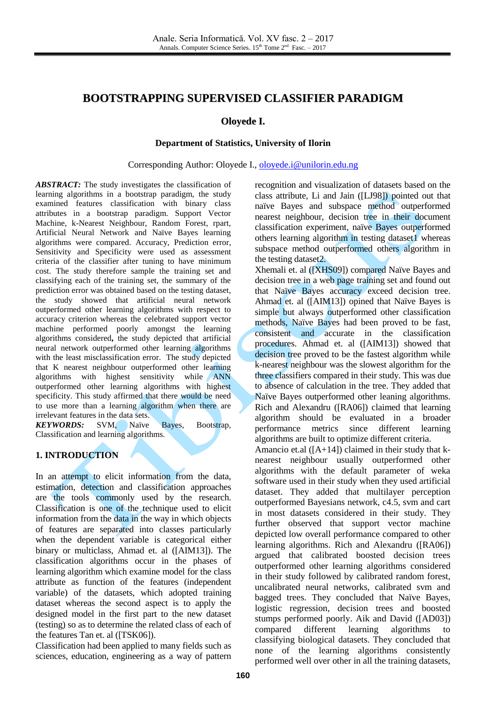# **BOOTSTRAPPING SUPERVISED CLASSIFIER PARADIGM**

## **Oloyede I.**

### **Department of Statistics, University of Ilorin**

#### Corresponding Author: Oloyede I., [oloyede.i@unilorin.edu.ng](mailto:oloyede.i@unilorin.edu.ng)

*ABSTRACT:* The study investigates the classification of learning algorithms in a bootstrap paradigm, the study examined features classification with binary class attributes in a bootstrap paradigm. Support Vector Machine, k-Nearest Neighbour, Random Forest, rpart, Artificial Neural Network and Naïve Bayes learning algorithms were compared. Accuracy, Prediction error, Sensitivity and Specificity were used as assessment criteria of the classifier after tuning to have minimum cost. The study therefore sample the training set and classifying each of the training set, the summary of the prediction error was obtained based on the testing dataset, the study showed that artificial neural network outperformed other learning algorithms with respect to accuracy criterion whereas the celebrated support vector machine performed poorly amongst the learning algorithms considered**,** the study depicted that artificial neural network outperformed other learning algorithms with the least misclassification error. The study depicted that K nearest neighbour outperformed other learning algorithms with highest sensitivity while ANN outperformed other learning algorithms with highest specificity. This study affirmed that there would be need to use more than a learning algorithm when there are irrelevant features in the data sets.<br> **KEYWORDS:** SVM, Naïve

*KEYM, Naïve Bayes, Bootstrap,* Classification and learning algorithms.

# **1. INTRODUCTION**

In an attempt to elicit information from the data, estimation, detection and classification approaches are the tools commonly used by the research. Classification is one of the technique used to elicit information from the data in the way in which objects of features are separated into classes particularly when the dependent variable is categorical either binary or multiclass, Ahmad et. al ([AIM13]). The classification algorithms occur in the phases of learning algorithm which examine model for the class attribute as function of the features (independent variable) of the datasets, which adopted training dataset whereas the second aspect is to apply the designed model in the first part to the new dataset (testing) so as to determine the related class of each of the features Tan et. al ([TSK06]).

Classification had been applied to many fields such as sciences, education, engineering as a way of pattern recognition and visualization of datasets based on the class attribute, Li and Jain ([LJ98]) pointed out that naïve Bayes and subspace method outperformed nearest neighbour, decision tree in their document classification experiment, naïve Bayes outperformed others learning algorithm in testing dataset1 whereas subspace method outperformed others algorithm in the testing dataset2.

Xhemali et. al ([XHS09]) compared Naïve Bayes and decision tree in a web page training set and found out that Naïve Bayes accuracy exceed decision tree. Ahmad et. al ([AIM13]) opined that Naïve Bayes is simple but always outperformed other classification methods, Naïve Bayes had been proved to be fast, consistent and accurate in the classification procedures. Ahmad et. al ([AIM13]) showed that decision tree proved to be the fastest algorithm while k-nearest neighbour was the slowest algorithm for the three classifiers compared in their study. This was due to absence of calculation in the tree. They added that Naïve Bayes outperformed other leaning algorithms. Rich and Alexandru ([RA06]) claimed that learning algorithm should be evaluated in a broader performance metrics since different learning algorithms are built to optimize different criteria. Amancio et.al  $([A+14])$  claimed in their study that knearest neighbour usually outperformed other algorithms with the default parameter of weka software used in their study when they used artificial dataset. They added that multilayer perception outperformed Bayesians network, c4.5, svm and cart in most datasets considered in their study. They further observed that support vector machine depicted low overall performance compared to other learning algorithms. Rich and Alexandru ([RA06]) argued that calibrated boosted decision trees outperformed other learning algorithms considered in their study followed by calibrated random forest, uncalibrated neural networks, calibrated svm and bagged trees. They concluded that Naïve Bayes, logistic regression, decision trees and boosted stumps performed poorly. Aik and David ([AD03]) compared different learning algorithms to classifying biological datasets. They concluded that none of the learning algorithms consistently performed well over other in all the training datasets,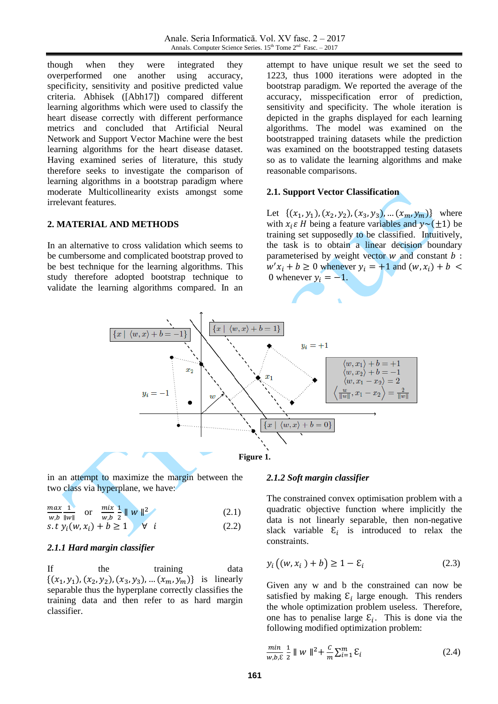though when they were integrated they overperformed one another using accuracy, specificity, sensitivity and positive predicted value criteria. Abhisek ([Abh17]) compared different learning algorithms which were used to classify the heart disease correctly with different performance metrics and concluded that Artificial Neural Network and Support Vector Machine were the best learning algorithms for the heart disease dataset. Having examined series of literature, this study therefore seeks to investigate the comparison of learning algorithms in a bootstrap paradigm where moderate Multicollinearity exists amongst some irrelevant features.

#### **2. MATERIAL AND METHODS**

In an alternative to cross validation which seems to be cumbersome and complicated bootstrap proved to be best technique for the learning algorithms. This study therefore adopted bootstrap technique to validate the learning algorithms compared. In an

attempt to have unique result we set the seed to 1223, thus 1000 iterations were adopted in the bootstrap paradigm. We reported the average of the accuracy, misspecification error of prediction, sensitivity and specificity. The whole iteration is depicted in the graphs displayed for each learning algorithms. The model was examined on the bootstrapped training datasets while the prediction was examined on the bootstrapped testing datasets so as to validate the learning algorithms and make reasonable comparisons.

#### **2.1. Support Vector Classification**

Let  $\{(x_1, y_1), (x_2, y_2), (x_3, y_3), \dots (x_m, y_m)\}\$  where with  $x_i \varepsilon$  H being a feature variables and  $y \sim (\pm 1)$  be training set supposedly to be classified. Intuitively, the task is to obtain a linear decision boundary parameterised by weight vector  $w$  and constant  $b$ :  $w'x_i + b \ge 0$  whenever  $y_i = +1$  and 0 whenever  $y_i = -1$ .



in an attempt to maximize the margin between the two class via hyperplane, we have:

$$
\frac{max}{m h} \frac{1}{\|m\|} \quad \text{or} \quad \frac{mix}{m h} \frac{1}{2} \|w\|^2 \tag{2.1}
$$

*w,b* 
$$
||w||
$$
 *w,b*  $2^{n+1}$  *... (*2.2)  
\n*s.t*  $y_i(w, x_i) + b \ge 1$  *(*2.2)

$$
\mathcal{L} = \mathcal{L} \times \mathcal{L} = \mathcal{L} \times \mathcal{L}
$$

# *2.1.1 Hard margin classifier*

If the training data  $\{(x_1, y_1), (x_2, y_2), (x_3, y_3), \dots (x_m, y_m)\}\$ is linearly separable thus the hyperplane correctly classifies the training data and then refer to as hard margin classifier.

#### *2.1.2 Soft margin classifier*

The constrained convex optimisation problem with a quadratic objective function where implicitly the data is not linearly separable, then non-negative slack variable  $\varepsilon_i$  is introduced to relax the constraints.

$$
y_i((w, x_i) + b) \ge 1 - \varepsilon_i \tag{2.3}
$$

Given any w and b the constrained can now be satisfied by making  $\mathcal{E}_i$  large enough. This renders the whole optimization problem useless. Therefore, one has to penalise large  $\mathcal{E}_i$ . This is done via the following modified optimization problem:

$$
\frac{min}{w, b, \varepsilon} \frac{1}{2} \| w \|^2 + \frac{c}{m} \sum_{i=1}^{m} \varepsilon_i
$$
 (2.4)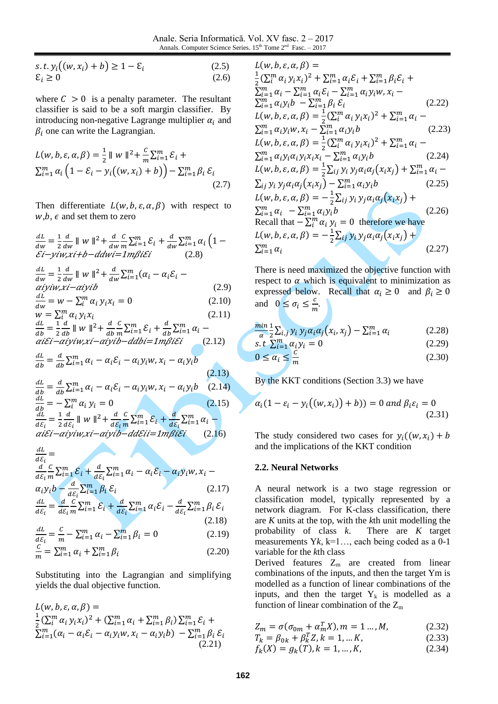Anale. Seria Informatică. Vol. XV fasc. 2 – 2017 Annals. Computer Science Series.  $15<sup>th</sup>$  Tome  $2<sup>nd</sup>$  Fasc.  $-2017$ 

$$
s.t. y_i((w, x_i) + b) \ge 1 - \varepsilon_i
$$
  
\n
$$
\varepsilon_i \ge 0
$$
\n(2.5)  
\n(2.6)

where  $C > 0$  is a penalty parameter. The resultant classifier is said to be a soft margin classifier. By introducing non-negative Lagrange multiplier  $\alpha_i$  and  $\beta_i$  one can write the Lagrangian.

$$
L(w, b, \varepsilon, \alpha, \beta) = \frac{1}{2} ||w||^2 + \frac{c}{m} \sum_{i=1}^m \varepsilon_i + \sum_{i=1}^m \alpha_i \left(1 - \varepsilon_i - y_i \left((w, x_i) + b\right)\right) - \sum_{i=1}^m \beta_i \varepsilon_i
$$
\n(2.7)

Then differentiate  $L(w, b, \varepsilon, \alpha, \beta)$  with respect to  $w, b, \epsilon$  and set them to zero

$$
\frac{dL}{dw} = \frac{1}{2} \frac{d}{dw} ||w||^2 + \frac{d}{dw} \frac{C}{m} \sum_{i=1}^m \mathcal{E}_i + \frac{d}{dw} \sum_{i=1}^m \alpha_i (1 - \mathcal{E}i - yiw, xi + b - ddwi = 1m\beta i\mathcal{E}i
$$
\n(2.8)\n
$$
\frac{dL}{dw} = \frac{1}{2} \frac{d}{dw} ||w||^2 + \frac{d}{dw} \sum_{i=1}^m (\alpha_i - \alpha_i \mathcal{E}_i - \alpha i yiw, xi - aiyib
$$
\n(2.9)\n
$$
\frac{dL}{dw} = w - \sum_i^m \alpha_i y_i x_i = 0
$$
\n(2.10)\n
$$
w = \sum_i^m \alpha_i y_i x_i
$$
\n(2.11)\n
$$
\frac{dL}{db} = \frac{1}{2} \frac{d}{db} ||w||^2 + \frac{d}{db} \sum_{i=1}^m \mathcal{E}_i + \frac{d}{db} \sum_{i=1}^m \alpha_i - \alpha i \mathcal{E}i - aiyiw, xi - aiyib - ddbi = 1m\beta i\mathcal{E}i
$$
\n(2.12)\n
$$
\frac{dL}{db} = \frac{d}{db} \sum_{i=1}^m \alpha_i - \alpha_i \mathcal{E}_i - \alpha_i y_i w, x_i - \alpha_i y_i b
$$
\n(2.13)\n
$$
\frac{dL}{db} = \frac{d}{db} \sum_{i=1}^m \alpha_i - \alpha_i \mathcal{E}_i - \alpha_i y_i w, x_i - \alpha_i y_i b
$$
\n(2.14)\n
$$
\frac{dL}{db} = - \sum_i^m \alpha_i y_i = 0
$$
\n(2.15)\n
$$
\frac{dL}{d\mathcal{E}_i} = \frac{1}{2} \frac{d}{d\mathcal{E}_i} ||w||^2 + \frac{d}{d\mathcal{E}_i} \sum_{i=1}^m \mathcal{E}_i + \frac{d}{d\mathcal{E}_i} \sum_{i=1}^m \alpha_i - \alpha i \mathcal{E}i - aiyiw, xi - aiyib - dd\mathcal{E}ii = 1m\beta i\mathcal{E}i
$$
\n(2.16)

 $\boldsymbol{d}$  $\frac{dE_i}{dE_i} =$  $\boldsymbol{d}$  $\boldsymbol{d}$  $\mathcal{C}_{0}^{(n)}$  $\frac{c}{m}\sum_{i=1}^{m}$  $\boldsymbol{d}$  $\frac{a}{d\varepsilon_i}\Sigma^m_{i}$  $\alpha_i y_i b - \frac{d}{d\xi_i} \sum_{i=1}^m \beta_i \, \mathcal{E}_i$  (2.17)  $\boldsymbol{d}$  $\boldsymbol{d}$  $\frac{dL}{d\varepsilon_i} = \frac{d}{d\varepsilon}$  $\boldsymbol{d}$  $\mathcal{C}_{0}^{(n)}$  $\frac{c}{m}\sum_{i=1}^{m}$  $\boldsymbol{d}$  $\frac{a}{d\varepsilon_i}\sum_{i=1}^m$  $\boldsymbol{d}$  $\frac{a}{d\varepsilon_i} \sum_{i=1}^m \beta_i \varepsilon_i$ 

$$
\frac{dL}{dE_i} = \frac{c}{m} - \sum_{i=1}^{m} \alpha_i - \sum_{i=1}^{m} \beta_i = 0
$$
\n(2.18)

$$
\frac{dE_i}{dt} - \frac{m}{m} - \sum_{i=1}^{n} u_i - \sum_{i=1}^{n} p_i = 0
$$
\n(2.19)\n  
\n
$$
\frac{c}{m} = \sum_{i=1}^{m} \alpha_i + \sum_{i=1}^{m} \beta_i
$$
\n(2.20)

Substituting into the Lagrangian and simplifying yields the dual objective function.

$$
L(w, b, \varepsilon, \alpha, \beta) =
$$
  
\n
$$
\frac{1}{2} (\sum_{i=1}^{m} \alpha_i y_i x_i)^2 + (\sum_{i=1}^{m} \alpha_i + \sum_{i=1}^{m} \beta_i) \sum_{i=1}^{m} \varepsilon_i +
$$
  
\n
$$
\sum_{i=1}^{m} (\alpha_i - \alpha_i \varepsilon_i - \alpha_i y_i w, x_i - \alpha_i y_i b) - \sum_{i=1}^{m} \beta_i \varepsilon_i
$$
  
\n(2.21)

$$
L(w, b, \varepsilon, \alpha, \beta) =
$$
\n
$$
\frac{1}{2} (\sum_{i}^{m} \alpha_{i} y_{i} x_{i})^{2} + \sum_{i=1}^{m} \alpha_{i} \varepsilon_{i} + \sum_{i=1}^{m} \beta_{i} \varepsilon_{i} +
$$
\n
$$
\sum_{i=1}^{m} \alpha_{i} - \sum_{i=1}^{m} \alpha_{i} \varepsilon_{i} - \sum_{i=1}^{m} \alpha_{i} y_{i} w_{i} x_{i} -
$$
\n
$$
\sum_{i=1}^{m} \alpha_{i} y_{i} b - \sum_{i=1}^{m} \beta_{i} \varepsilon_{i} \qquad (2.22)
$$
\n
$$
L(w, b, \varepsilon, \alpha, \beta) = \frac{1}{2} (\sum_{i}^{m} \alpha_{i} y_{i} x_{i})^{2} + \sum_{i=1}^{m} \alpha_{i} -
$$
\n
$$
\sum_{i=1}^{m} \alpha_{i} y_{i} w_{i} x_{i} - \sum_{i=1}^{m} \alpha_{i} y_{i} b \qquad (2.23)
$$
\n
$$
L(w, b, \varepsilon, \alpha, \beta) = \frac{1}{2} (\sum_{i}^{m} \alpha_{i} y_{i} x_{i})^{2} + \sum_{i=1}^{m} \alpha_{i} -
$$
\n
$$
\sum_{i=1}^{m} \alpha_{i} y_{i} \alpha_{i} y_{i} x_{i} x_{i} - \sum_{i=1}^{m} \alpha_{i} y_{i} b \qquad (2.24)
$$
\n
$$
L(w, b, \varepsilon, \alpha, \beta) = \frac{1}{2} \sum_{i} y_{i} y_{j} \alpha_{i} \alpha_{j} (x_{i} x_{j}) + \sum_{i=1}^{m} \alpha_{i} -
$$
\n
$$
\sum_{i} y_{i} y_{j} \alpha_{i} \alpha_{j} (x_{i} x_{j}) - \sum_{i=1}^{m} \alpha_{i} y_{i} b \qquad (2.25)
$$
\n
$$
L(w, b, \varepsilon, \alpha, \beta) = -\frac{1}{2} \sum_{i} y_{i} y_{j} \alpha_{i} \alpha_{j} (x_{i} x_{j}) +
$$
\n<math display="block</math>

There is need maximized the objective function with respect to  $\alpha$  which is equivalent to minimization as expressed below. Recall that  $\alpha_i \geq 0$  and  $\beta_i \geq 0$ and  $0 \leq \sigma_i \leq \frac{c}{n}$  $\frac{c}{m}$ .

$$
\frac{\min\limits_{\alpha} 1}{\sum_{i,j} y_i y_j \alpha_i \alpha_j} (x_i, x_j) - \sum_{i=1}^m \alpha_i \tag{2.28}
$$

$$
s. t \sum_{i=1}^{m} \alpha_i y_i = 0 \tag{2.29}
$$

$$
0 \le \alpha_i \le \frac{c}{m} \tag{2.30}
$$

By the KKT conditions (Section 3.3) we have

$$
\alpha_i(1 - \varepsilon_i - y_i((w, x_i)) + b)) = 0 \text{ and } \beta_i \varepsilon_i = 0
$$
\n(2.31)

The study considered two cases for  $y_i((w, x_i))$ and the implications of the KKT condition

#### **2.2. Neural Networks**

A neural network is a two stage regression or classification model, typically represented by a network diagram. For K-class classification, there are *K* units at the top, with the *k*th unit modelling the probability of class *k*. There are *K* target measurements Y*k*, k=1…, each being coded as a 0-1 variable for the *k*th class

Derived features  $Z_m$  are created from linear combinations of the inputs, and then the target Ym is modelled as a function of linear combinations of the inputs, and then the target  $Y_k$  is modelled as a function of linear combination of the  $Z_m$ 

$$
Z_m = \sigma(\sigma_{0m} + \alpha_m^T X), m = 1 \dots, M,\tag{2.32}
$$

$$
T_k = \beta_{0k} + \beta_k^T Z, k = 1, \dots K,
$$
 (2.33)

$$
f_k(X) = g_k(T), k = 1, ..., K,
$$
 (2.34)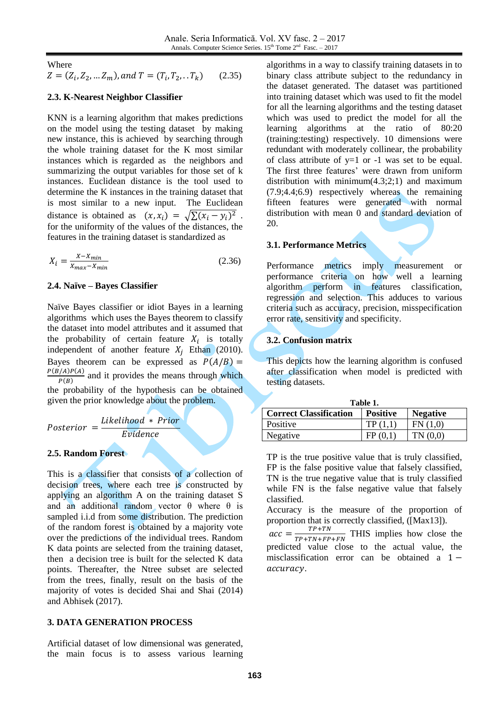Where

 $Z = (Z_i, Z_2, ... Z_m)$ , and  $T = (T_i, T_2, ... T_k)$  (2.35)

#### **2.3. K-Nearest Neighbor Classifier**

KNN is a learning algorithm that makes predictions on the model using the testing dataset by making new instance, this is achieved by searching through the whole training dataset for the K most similar instances which is regarded as the neighbors and summarizing the output variables for those set of k instances. Euclidean distance is the tool used to determine the K instances in the training dataset that is most similar to a new input. The Euclidean distance is obtained as  $(x, x_i) = \sqrt{\sum (x_i - y_i)^2}$ . for the uniformity of the values of the distances, the features in the training dataset is standardized as

$$
X_i = \frac{X - X_{min}}{X_{max} - X_{min}}\tag{2.36}
$$

#### **2.4. Naïve – Bayes Classifier**

Naïve Bayes classifier or idiot Bayes in a learning algorithms which uses the Bayes theorem to classify the dataset into model attributes and it assumed that the probability of certain feature  $X_i$  is totally independent of another feature  $X_i$  Ethan (2010). Bayes theorem can be expressed as  $P(A/B) =$  $\boldsymbol{P}$  $\frac{P(A)}{P(B)}$  and it provides the means through which the probability of the hypothesis can be obtained given the prior knowledge about the problem.

 $\overline{P}$ L E

### **2.5. Random Forest**

This is a classifier that consists of a collection of decision trees, where each tree is constructed by applying an algorithm A on the training dataset S and an additional random vector  $\theta$  where  $\theta$  is sampled i.i.d from some distribution. The prediction of the random forest is obtained by a majority vote over the predictions of the individual trees. Random K data points are selected from the training dataset, then a decision tree is built for the selected K data points. Thereafter, the Ntree subset are selected from the trees, finally, result on the basis of the majority of votes is decided Shai and Shai (2014) and Abhisek (2017).

#### **3. DATA GENERATION PROCESS**

Artificial dataset of low dimensional was generated, the main focus is to assess various learning

algorithms in a way to classify training datasets in to binary class attribute subject to the redundancy in the dataset generated. The dataset was partitioned into training dataset which was used to fit the model for all the learning algorithms and the testing dataset which was used to predict the model for all the learning algorithms at the ratio of 80:20 (training:testing) respectively. 10 dimensions were redundant with moderately collinear, the probability of class attribute of  $y=1$  or  $-1$  was set to be equal. The first three features' were drawn from uniform distribution with minimum(4.3;2;1) and maximum (7.9;4.4;6.9) respectively whereas the remaining fifteen features were generated with normal distribution with mean 0 and standard deviation of 20.

## **3.1. Performance Metrics**

Performance metrics imply measurement or performance criteria on how well a learning algorithm perform in features classification, regression and selection. This adduces to various criteria such as accuracy, precision, misspecification error rate, sensitivity and specificity.

#### **3.2. Confusion matrix**

This depicts how the learning algorithm is confused after classification when model is predicted with testing datasets.

| Table 1.                      |                 |                 |  |  |  |
|-------------------------------|-----------------|-----------------|--|--|--|
| <b>Correct Classification</b> | <b>Positive</b> | <b>Negative</b> |  |  |  |
| Positive                      | TP(1.1)         | FN(1,0)         |  |  |  |
| Negative                      | FP(0,1)         | TN(0,0)         |  |  |  |

TP is the true positive value that is truly classified, FP is the false positive value that falsely classified, TN is the true negative value that is truly classified while FN is the false negative value that falsely classified.

Accuracy is the measure of the proportion of proportion that is correctly classified, ([Max13]).

 $acc = \frac{T}{T_{B+T}}$  $\frac{TP+TN}{TP+TN+FP+FN}$  THIS implies how close the predicted value close to the actual value, the misclassification error can be obtained a  $1$ accuracy.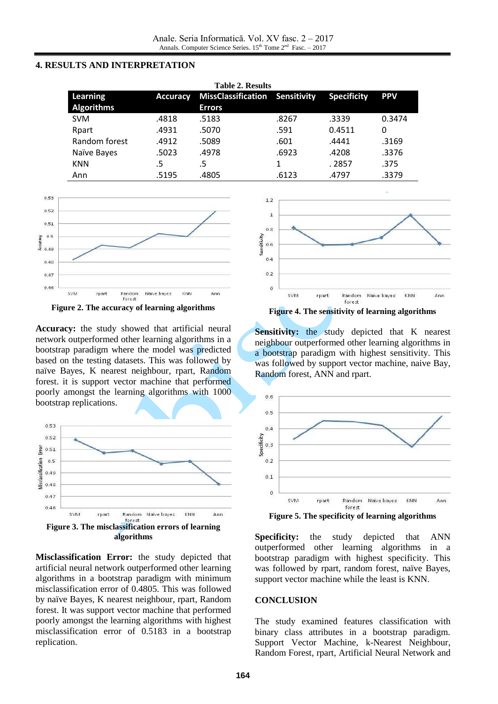## **4. RESULTS AND INTERPRETATION**

| <b>Table 2. Results</b> |                 |                                       |       |                    |            |  |  |
|-------------------------|-----------------|---------------------------------------|-------|--------------------|------------|--|--|
| Learning                | <b>Accuracy</b> | <b>MissClassification Sensitivity</b> |       | <b>Specificity</b> | <b>PPV</b> |  |  |
| <b>Algorithms</b>       |                 | <b>Errors</b>                         |       |                    |            |  |  |
| <b>SVM</b>              | .4818           | .5183                                 | .8267 | .3339              | 0.3474     |  |  |
| Rpart                   | .4931           | .5070                                 | .591  | 0.4511             | 0          |  |  |
| Random forest           | .4912           | .5089                                 | .601  | .4441              | .3169      |  |  |
| Naïve Bayes             | .5023           | .4978                                 | .6923 | .4208              | .3376      |  |  |
| <b>KNN</b>              | .5              | .5                                    |       | . 2857             | .375       |  |  |
| Ann                     | .5195           | .4805                                 | .6123 | .4797              | .3379      |  |  |



**Figure 2. The accuracy of learning algorithms**

**Accuracy:** the study showed that artificial neural network outperformed other learning algorithms in a bootstrap paradigm where the model was predicted based on the testing datasets. This was followed by naïve Bayes, K nearest neighbour, rpart, Random forest. it is support vector machine that performed poorly amongst the learning algorithms with 1000 bootstrap replications.



**Misclassification Error:** the study depicted that artificial neural network outperformed other learning algorithms in a bootstrap paradigm with minimum misclassification error of 0.4805. This was followed by naïve Bayes, K nearest neighbour, rpart, Random forest. It was support vector machine that performed poorly amongst the learning algorithms with highest misclassification error of 0.5183 in a bootstrap replication.



**Figure 4. The sensitivity of learning algorithms**

**Sensitivity:** the study depicted that K nearest neighbour outperformed other learning algorithms in a bootstrap paradigm with highest sensitivity. This was followed by support vector machine, naive Bay, Random forest, ANN and rpart.



**Figure 5. The specificity of learning algorithms**

**Specificity:** the study depicted that ANN outperformed other learning algorithms in a bootstrap paradigm with highest specificity. This was followed by rpart, random forest, naïve Bayes, support vector machine while the least is KNN.

# **CONCLUSION**

The study examined features classification with binary class attributes in a bootstrap paradigm. Support Vector Machine, k-Nearest Neighbour, Random Forest, rpart, Artificial Neural Network and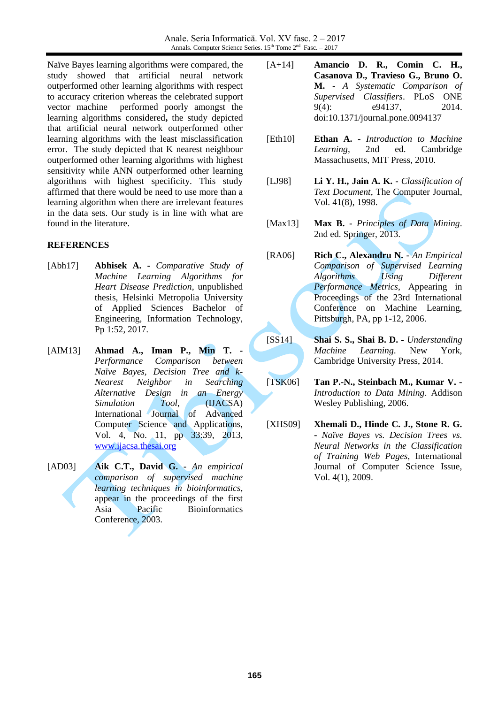Naïve Bayes learning algorithms were compared, the study showed that artificial neural network outperformed other learning algorithms with respect to accuracy criterion whereas the celebrated support vector machine performed poorly amongst the learning algorithms considered**,** the study depicted that artificial neural network outperformed other learning algorithms with the least misclassification error. The study depicted that K nearest neighbour outperformed other learning algorithms with highest sensitivity while ANN outperformed other learning algorithms with highest specificity. This study affirmed that there would be need to use more than a learning algorithm when there are irrelevant features in the data sets. Our study is in line with what are found in the literature.

## **REFERENCES**

- [Abh17] **Abhisek A. -** *Comparative Study of Machine Learning Algorithms for Heart Disease Prediction*, unpublished thesis, Helsinki Metropolia University of Applied Sciences Bachelor of Engineering, Information Technology, Pp 1:52, 2017.
- [AIM13] **Ahmad A., Iman P., Min T. -** *Performance Comparison between Naïve Bayes, Decision Tree and k-Nearest Neighbor in Searching Alternative Design in an Energy Simulation Tool*, (IJACSA) International Journal of Advanced Computer Science and Applications, Vol. 4, No. 11, pp 33:39, 2013, [www.ijacsa.thesai.org](http://www.ijacsa.thesai.org/)
- [AD03] **Aik C.T., David G. -** *An empirical comparison of supervised machine learning techniques in bioinformatics*, appear in the proceedings of the first Asia Pacific Bioinformatics Conference, 2003.
- [A+14] **Amancio D. R., Comin C. H., Casanova D., Travieso G., Bruno O. M. -** *A Systematic Comparison of Supervised Classifiers*. PLoS ONE 9(4): e94137, 2014. doi:10.1371/journal.pone.0094137
- [Eth10] **Ethan A. -** *Introduction to Machine Learning*, 2nd ed. Cambridge Massachusetts, MIT Press, 2010.
- [LJ98] **Li Y. H., Jain A. K. -** *Classification of Text Document*, The Computer Journal, Vol. 41(8), 1998.
- [Max13] **Max B. -** *Principles of Data Mining*. 2nd ed. Springer, 2013.
- [RA06] **Rich C., Alexandru N. -** *An Empirical Comparison of Supervised Learning Algorithms Using Different Performance Metrics*, Appearing in Proceedings of the 23rd International Conference on Machine Learning, Pittsburgh, PA, pp 1-12, 2006.
- [SS14] **Shai S. S., Shai B. D. -** *Understanding Machine Learning*. New York, Cambridge University Press, 2014.
- [TSK06] **Tan P.-N., Steinbach M., Kumar V. -** *Introduction to Data Mining*. Addison Wesley Publishing, 2006.
- [XHS09] **Xhemali D., Hinde C. J., Stone R. G. -** *Naïve Bayes vs. Decision Trees vs. Neural Networks in the Classification of Training Web Pages*, International Journal of Computer Science Issue, Vol. 4(1), 2009.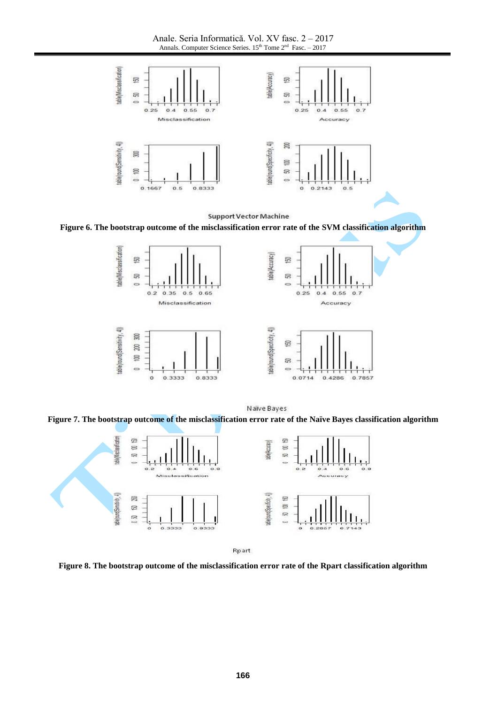Anale. Seria Informatică. Vol. XV fasc. 2 – 2017 Annals. Computer Science Series.  $15<sup>th</sup>$  Tome  $2<sup>nd</sup>$  Fasc.  $-2017$ 



**Support Vector Machine** 

**Figure 6. The bootstrap outcome of the misclassification error rate of the SVM classification algorithm**



Naïve Bayes

**Figure 7. The bootstrap outcome of the misclassification error rate of the Naïve Bayes classification algorithm**



Rpart

**Figure 8. The bootstrap outcome of the misclassification error rate of the Rpart classification algorithm**